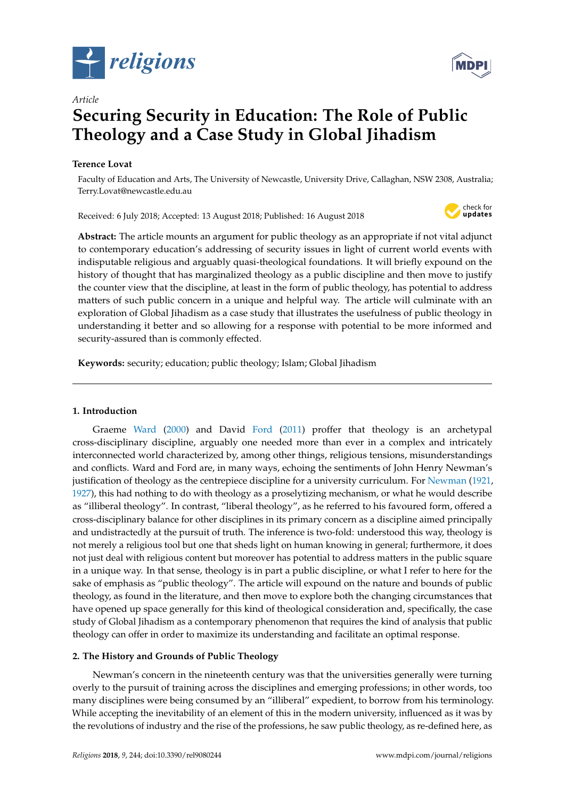



# *Article* **Securing Security in Education: The Role of Public Theology and a Case Study in Global Jihadism**

# **Terence Lovat**

Faculty of Education and Arts, The University of Newcastle, University Drive, Callaghan, NSW 2308, Australia; Terry.Lovat@newcastle.edu.au

Received: 6 July 2018; Accepted: 13 August 2018; Published: 16 August 2018



**Abstract:** The article mounts an argument for public theology as an appropriate if not vital adjunct to contemporary education's addressing of security issues in light of current world events with indisputable religious and arguably quasi-theological foundations. It will briefly expound on the history of thought that has marginalized theology as a public discipline and then move to justify the counter view that the discipline, at least in the form of public theology, has potential to address matters of such public concern in a unique and helpful way. The article will culminate with an exploration of Global Jihadism as a case study that illustrates the usefulness of public theology in understanding it better and so allowing for a response with potential to be more informed and security-assured than is commonly effected.

**Keywords:** security; education; public theology; Islam; Global Jihadism

## **1. Introduction**

Graeme [Ward](#page-12-0) [\(2000\)](#page-12-0) and David [Ford](#page-10-0) [\(2011\)](#page-10-0) proffer that theology is an archetypal cross-disciplinary discipline, arguably one needed more than ever in a complex and intricately interconnected world characterized by, among other things, religious tensions, misunderstandings and conflicts. Ward and Ford are, in many ways, echoing the sentiments of John Henry Newman's justification of theology as the centrepiece discipline for a university curriculum. For [Newman](#page-11-0) [\(1921,](#page-11-0) [1927\)](#page-12-1), this had nothing to do with theology as a proselytizing mechanism, or what he would describe as "illiberal theology". In contrast, "liberal theology", as he referred to his favoured form, offered a cross-disciplinary balance for other disciplines in its primary concern as a discipline aimed principally and undistractedly at the pursuit of truth. The inference is two-fold: understood this way, theology is not merely a religious tool but one that sheds light on human knowing in general; furthermore, it does not just deal with religious content but moreover has potential to address matters in the public square in a unique way. In that sense, theology is in part a public discipline, or what I refer to here for the sake of emphasis as "public theology". The article will expound on the nature and bounds of public theology, as found in the literature, and then move to explore both the changing circumstances that have opened up space generally for this kind of theological consideration and, specifically, the case study of Global Jihadism as a contemporary phenomenon that requires the kind of analysis that public theology can offer in order to maximize its understanding and facilitate an optimal response.

# **2. The History and Grounds of Public Theology**

Newman's concern in the nineteenth century was that the universities generally were turning overly to the pursuit of training across the disciplines and emerging professions; in other words, too many disciplines were being consumed by an "illiberal" expedient, to borrow from his terminology. While accepting the inevitability of an element of this in the modern university, influenced as it was by the revolutions of industry and the rise of the professions, he saw public theology, as re-defined here, as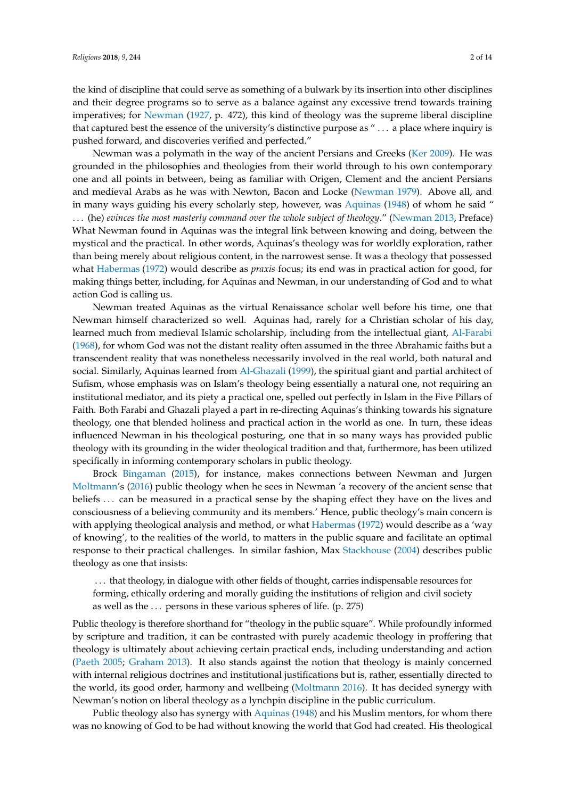the kind of discipline that could serve as something of a bulwark by its insertion into other disciplines and their degree programs so to serve as a balance against any excessive trend towards training imperatives; for [Newman](#page-12-1) [\(1927,](#page-12-1) p. 472), this kind of theology was the supreme liberal discipline that captured best the essence of the university's distinctive purpose as " . . . a place where inquiry is pushed forward, and discoveries verified and perfected."

Newman was a polymath in the way of the ancient Persians and Greeks [\(Ker](#page-11-1) [2009\)](#page-11-1). He was grounded in the philosophies and theologies from their world through to his own contemporary one and all points in between, being as familiar with Origen, Clement and the ancient Persians and medieval Arabs as he was with Newton, Bacon and Locke [\(Newman](#page-12-2) [1979\)](#page-12-2). Above all, and in many ways guiding his every scholarly step, however, was [Aquinas](#page-10-1) [\(1948\)](#page-10-1) of whom he said " . . . (he) *evinces the most masterly command over the whole subject of theology*." [\(Newman](#page-12-3) [2013,](#page-12-3) Preface) What Newman found in Aquinas was the integral link between knowing and doing, between the mystical and the practical. In other words, Aquinas's theology was for worldly exploration, rather than being merely about religious content, in the narrowest sense. It was a theology that possessed what [Habermas](#page-10-2) [\(1972\)](#page-10-2) would describe as *praxis* focus; its end was in practical action for good, for making things better, including, for Aquinas and Newman, in our understanding of God and to what action God is calling us.

Newman treated Aquinas as the virtual Renaissance scholar well before his time, one that Newman himself characterized so well. Aquinas had, rarely for a Christian scholar of his day, learned much from medieval Islamic scholarship, including from the intellectual giant, [Al-Farabi](#page-9-0) [\(1968\)](#page-9-0), for whom God was not the distant reality often assumed in the three Abrahamic faiths but a transcendent reality that was nonetheless necessarily involved in the real world, both natural and social. Similarly, Aquinas learned from [Al-Ghazali](#page-9-1) [\(1999\)](#page-9-1), the spiritual giant and partial architect of Sufism, whose emphasis was on Islam's theology being essentially a natural one, not requiring an institutional mediator, and its piety a practical one, spelled out perfectly in Islam in the Five Pillars of Faith. Both Farabi and Ghazali played a part in re-directing Aquinas's thinking towards his signature theology, one that blended holiness and practical action in the world as one. In turn, these ideas influenced Newman in his theological posturing, one that in so many ways has provided public theology with its grounding in the wider theological tradition and that, furthermore, has been utilized specifically in informing contemporary scholars in public theology.

Brock [Bingaman](#page-10-3) [\(2015\)](#page-10-3), for instance, makes connections between Newman and Jurgen [Moltmann'](#page-11-2)s [\(2016\)](#page-11-2) public theology when he sees in Newman 'a recovery of the ancient sense that beliefs . . . can be measured in a practical sense by the shaping effect they have on the lives and consciousness of a believing community and its members.' Hence, public theology's main concern is with applying theological analysis and method, or what [Habermas](#page-10-2) [\(1972\)](#page-10-2) would describe as a 'way of knowing', to the realities of the world, to matters in the public square and facilitate an optimal response to their practical challenges. In similar fashion, Max [Stackhouse](#page-12-4) [\(2004\)](#page-12-4) describes public theology as one that insists:

. . . that theology, in dialogue with other fields of thought, carries indispensable resources for forming, ethically ordering and morally guiding the institutions of religion and civil society as well as the  $\ldots$  persons in these various spheres of life. (p. 275)

Public theology is therefore shorthand for "theology in the public square". While profoundly informed by scripture and tradition, it can be contrasted with purely academic theology in proffering that theology is ultimately about achieving certain practical ends, including understanding and action [\(Paeth](#page-12-5) [2005;](#page-12-5) [Graham](#page-10-4) [2013\)](#page-10-4). It also stands against the notion that theology is mainly concerned with internal religious doctrines and institutional justifications but is, rather, essentially directed to the world, its good order, harmony and wellbeing [\(Moltmann](#page-11-2) [2016\)](#page-11-2). It has decided synergy with Newman's notion on liberal theology as a lynchpin discipline in the public curriculum.

Public theology also has synergy with [Aquinas](#page-10-1) [\(1948\)](#page-10-1) and his Muslim mentors, for whom there was no knowing of God to be had without knowing the world that God had created. His theological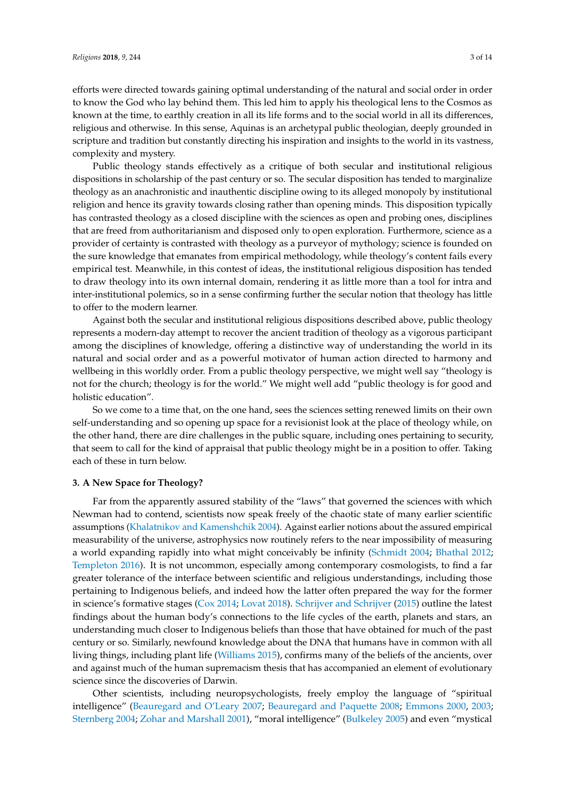efforts were directed towards gaining optimal understanding of the natural and social order in order to know the God who lay behind them. This led him to apply his theological lens to the Cosmos as known at the time, to earthly creation in all its life forms and to the social world in all its differences, religious and otherwise. In this sense, Aquinas is an archetypal public theologian, deeply grounded in scripture and tradition but constantly directing his inspiration and insights to the world in its vastness, complexity and mystery.

Public theology stands effectively as a critique of both secular and institutional religious dispositions in scholarship of the past century or so. The secular disposition has tended to marginalize theology as an anachronistic and inauthentic discipline owing to its alleged monopoly by institutional religion and hence its gravity towards closing rather than opening minds. This disposition typically has contrasted theology as a closed discipline with the sciences as open and probing ones, disciplines that are freed from authoritarianism and disposed only to open exploration. Furthermore, science as a provider of certainty is contrasted with theology as a purveyor of mythology; science is founded on the sure knowledge that emanates from empirical methodology, while theology's content fails every empirical test. Meanwhile, in this contest of ideas, the institutional religious disposition has tended to draw theology into its own internal domain, rendering it as little more than a tool for intra and inter-institutional polemics, so in a sense confirming further the secular notion that theology has little to offer to the modern learner.

Against both the secular and institutional religious dispositions described above, public theology represents a modern-day attempt to recover the ancient tradition of theology as a vigorous participant among the disciplines of knowledge, offering a distinctive way of understanding the world in its natural and social order and as a powerful motivator of human action directed to harmony and wellbeing in this worldly order. From a public theology perspective, we might well say "theology is not for the church; theology is for the world." We might well add "public theology is for good and holistic education".

So we come to a time that, on the one hand, sees the sciences setting renewed limits on their own self-understanding and so opening up space for a revisionist look at the place of theology while, on the other hand, there are dire challenges in the public square, including ones pertaining to security, that seem to call for the kind of appraisal that public theology might be in a position to offer. Taking each of these in turn below.

## **3. A New Space for Theology?**

Far from the apparently assured stability of the "laws" that governed the sciences with which Newman had to contend, scientists now speak freely of the chaotic state of many earlier scientific assumptions [\(Khalatnikov and Kamenshchik](#page-11-3) [2004\)](#page-11-3). Against earlier notions about the assured empirical measurability of the universe, astrophysics now routinely refers to the near impossibility of measuring a world expanding rapidly into what might conceivably be infinity [\(Schmidt](#page-12-6) [2004;](#page-12-6) [Bhathal](#page-10-5) [2012;](#page-10-5) [Templeton](#page-12-7) [2016\)](#page-12-7). It is not uncommon, especially among contemporary cosmologists, to find a far greater tolerance of the interface between scientific and religious understandings, including those pertaining to Indigenous beliefs, and indeed how the latter often prepared the way for the former in science's formative stages [\(Cox](#page-10-6) [2014;](#page-10-6) [Lovat](#page-11-4) [2018\)](#page-11-4). [Schrijver and Schrijver](#page-12-8) [\(2015\)](#page-12-8) outline the latest findings about the human body's connections to the life cycles of the earth, planets and stars, an understanding much closer to Indigenous beliefs than those that have obtained for much of the past century or so. Similarly, newfound knowledge about the DNA that humans have in common with all living things, including plant life [\(Williams](#page-12-9) [2015\)](#page-12-9), confirms many of the beliefs of the ancients, over and against much of the human supremacism thesis that has accompanied an element of evolutionary science since the discoveries of Darwin.

Other scientists, including neuropsychologists, freely employ the language of "spiritual intelligence" [\(Beauregard and O'Leary](#page-10-7) [2007;](#page-10-7) [Beauregard and Paquette](#page-10-8) [2008;](#page-10-8) [Emmons](#page-10-9) [2000,](#page-10-9) [2003;](#page-10-10) [Sternberg](#page-12-10) [2004;](#page-12-10) [Zohar and Marshall](#page-13-0) [2001\)](#page-13-0), "moral intelligence" [\(Bulkeley](#page-10-11) [2005\)](#page-10-11) and even "mystical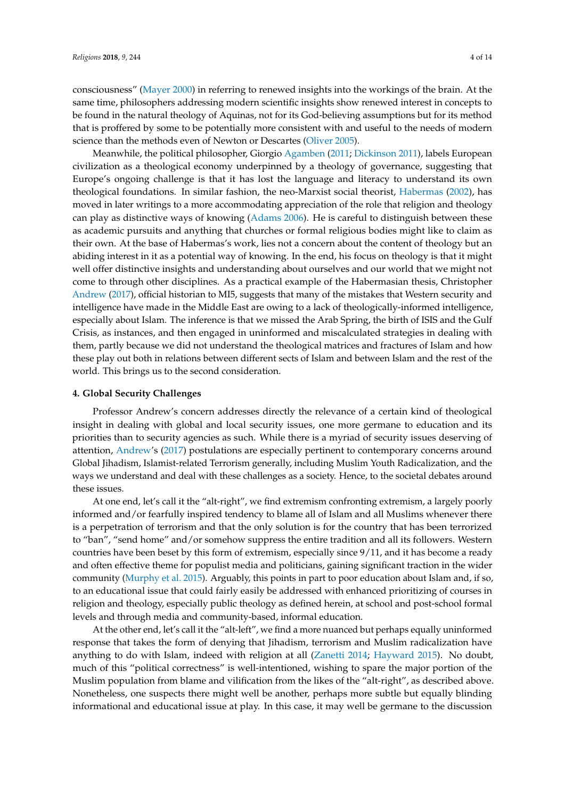consciousness" [\(Mayer](#page-11-5) [2000\)](#page-11-5) in referring to renewed insights into the workings of the brain. At the same time, philosophers addressing modern scientific insights show renewed interest in concepts to be found in the natural theology of Aquinas, not for its God-believing assumptions but for its method that is proffered by some to be potentially more consistent with and useful to the needs of modern science than the methods even of Newton or Descartes [\(Oliver](#page-12-11) [2005\)](#page-12-11).

Meanwhile, the political philosopher, Giorgio [Agamben](#page-9-2) [\(2011;](#page-9-2) [Dickinson](#page-10-12) [2011\)](#page-10-12), labels European civilization as a theological economy underpinned by a theology of governance, suggesting that Europe's ongoing challenge is that it has lost the language and literacy to understand its own theological foundations. In similar fashion, the neo-Marxist social theorist, [Habermas](#page-10-13) [\(2002\)](#page-10-13), has moved in later writings to a more accommodating appreciation of the role that religion and theology can play as distinctive ways of knowing [\(Adams](#page-9-3) [2006\)](#page-9-3). He is careful to distinguish between these as academic pursuits and anything that churches or formal religious bodies might like to claim as their own. At the base of Habermas's work, lies not a concern about the content of theology but an abiding interest in it as a potential way of knowing. In the end, his focus on theology is that it might well offer distinctive insights and understanding about ourselves and our world that we might not come to through other disciplines. As a practical example of the Habermasian thesis, Christopher [Andrew](#page-10-14) [\(2017\)](#page-10-14), official historian to MI5, suggests that many of the mistakes that Western security and intelligence have made in the Middle East are owing to a lack of theologically-informed intelligence, especially about Islam. The inference is that we missed the Arab Spring, the birth of ISIS and the Gulf Crisis, as instances, and then engaged in uninformed and miscalculated strategies in dealing with them, partly because we did not understand the theological matrices and fractures of Islam and how these play out both in relations between different sects of Islam and between Islam and the rest of the world. This brings us to the second consideration.

#### **4. Global Security Challenges**

Professor Andrew's concern addresses directly the relevance of a certain kind of theological insight in dealing with global and local security issues, one more germane to education and its priorities than to security agencies as such. While there is a myriad of security issues deserving of attention, [Andrew'](#page-10-14)s [\(2017\)](#page-10-14) postulations are especially pertinent to contemporary concerns around Global Jihadism, Islamist-related Terrorism generally, including Muslim Youth Radicalization, and the ways we understand and deal with these challenges as a society. Hence, to the societal debates around these issues.

At one end, let's call it the "alt-right", we find extremism confronting extremism, a largely poorly informed and/or fearfully inspired tendency to blame all of Islam and all Muslims whenever there is a perpetration of terrorism and that the only solution is for the country that has been terrorized to "ban", "send home" and/or somehow suppress the entire tradition and all its followers. Western countries have been beset by this form of extremism, especially since 9/11, and it has become a ready and often effective theme for populist media and politicians, gaining significant traction in the wider community [\(Murphy et al.](#page-11-6) [2015\)](#page-11-6). Arguably, this points in part to poor education about Islam and, if so, to an educational issue that could fairly easily be addressed with enhanced prioritizing of courses in religion and theology, especially public theology as defined herein, at school and post-school formal levels and through media and community-based, informal education.

At the other end, let's call it the "alt-left", we find a more nuanced but perhaps equally uninformed response that takes the form of denying that Jihadism, terrorism and Muslim radicalization have anything to do with Islam, indeed with religion at all [\(Zanetti](#page-13-1) [2014;](#page-13-1) [Hayward](#page-10-15) [2015\)](#page-10-15). No doubt, much of this "political correctness" is well-intentioned, wishing to spare the major portion of the Muslim population from blame and vilification from the likes of the "alt-right", as described above. Nonetheless, one suspects there might well be another, perhaps more subtle but equally blinding informational and educational issue at play. In this case, it may well be germane to the discussion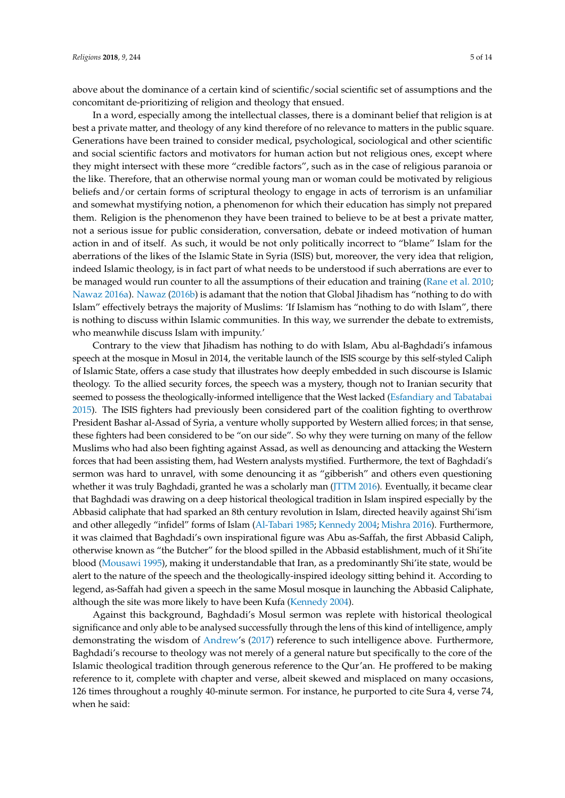above about the dominance of a certain kind of scientific/social scientific set of assumptions and the concomitant de-prioritizing of religion and theology that ensued.

In a word, especially among the intellectual classes, there is a dominant belief that religion is at best a private matter, and theology of any kind therefore of no relevance to matters in the public square. Generations have been trained to consider medical, psychological, sociological and other scientific and social scientific factors and motivators for human action but not religious ones, except where they might intersect with these more "credible factors", such as in the case of religious paranoia or the like. Therefore, that an otherwise normal young man or woman could be motivated by religious beliefs and/or certain forms of scriptural theology to engage in acts of terrorism is an unfamiliar and somewhat mystifying notion, a phenomenon for which their education has simply not prepared them. Religion is the phenomenon they have been trained to believe to be at best a private matter, not a serious issue for public consideration, conversation, debate or indeed motivation of human action in and of itself. As such, it would be not only politically incorrect to "blame" Islam for the aberrations of the likes of the Islamic State in Syria (ISIS) but, moreover, the very idea that religion, indeed Islamic theology, is in fact part of what needs to be understood if such aberrations are ever to be managed would run counter to all the assumptions of their education and training [\(Rane et al.](#page-12-12) [2010;](#page-12-12) [Nawaz](#page-11-7) [2016a\)](#page-11-7). [Nawaz](#page-11-8) [\(2016b\)](#page-11-8) is adamant that the notion that Global Jihadism has "nothing to do with Islam" effectively betrays the majority of Muslims: 'If Islamism has "nothing to do with Islam", there is nothing to discuss within Islamic communities. In this way, we surrender the debate to extremists, who meanwhile discuss Islam with impunity.'

Contrary to the view that Jihadism has nothing to do with Islam, Abu al-Baghdadi's infamous speech at the mosque in Mosul in 2014, the veritable launch of the ISIS scourge by this self-styled Caliph of Islamic State, offers a case study that illustrates how deeply embedded in such discourse is Islamic theology. To the allied security forces, the speech was a mystery, though not to Iranian security that seemed to possess the theologically-informed intelligence that the West lacked [\(Esfandiary and Tabatabai](#page-10-16) [2015\)](#page-10-16). The ISIS fighters had previously been considered part of the coalition fighting to overthrow President Bashar al-Assad of Syria, a venture wholly supported by Western allied forces; in that sense, these fighters had been considered to be "on our side". So why they were turning on many of the fellow Muslims who had also been fighting against Assad, as well as denouncing and attacking the Western forces that had been assisting them, had Western analysts mystified. Furthermore, the text of Baghdadi's sermon was hard to unravel, with some denouncing it as "gibberish" and others even questioning whether it was truly Baghdadi, granted he was a scholarly man [\(JTTM](#page-11-9) [2016\)](#page-11-9). Eventually, it became clear that Baghdadi was drawing on a deep historical theological tradition in Islam inspired especially by the Abbasid caliphate that had sparked an 8th century revolution in Islam, directed heavily against Shi'ism and other allegedly "infidel" forms of Islam [\(Al-Tabari](#page-10-17) [1985;](#page-10-17) [Kennedy](#page-11-10) [2004;](#page-11-10) [Mishra](#page-11-11) [2016\)](#page-11-11). Furthermore, it was claimed that Baghdadi's own inspirational figure was Abu as-Saffah, the first Abbasid Caliph, otherwise known as "the Butcher" for the blood spilled in the Abbasid establishment, much of it Shi'ite blood [\(Mousawi](#page-11-12) [1995\)](#page-11-12), making it understandable that Iran, as a predominantly Shi'ite state, would be alert to the nature of the speech and the theologically-inspired ideology sitting behind it. According to legend, as-Saffah had given a speech in the same Mosul mosque in launching the Abbasid Caliphate, although the site was more likely to have been Kufa [\(Kennedy](#page-11-10) [2004\)](#page-11-10).

Against this background, Baghdadi's Mosul sermon was replete with historical theological significance and only able to be analysed successfully through the lens of this kind of intelligence, amply demonstrating the wisdom of [Andrew'](#page-10-14)s [\(2017\)](#page-10-14) reference to such intelligence above. Furthermore, Baghdadi's recourse to theology was not merely of a general nature but specifically to the core of the Islamic theological tradition through generous reference to the Qur'an. He proffered to be making reference to it, complete with chapter and verse, albeit skewed and misplaced on many occasions, 126 times throughout a roughly 40-minute sermon. For instance, he purported to cite Sura 4, verse 74, when he said: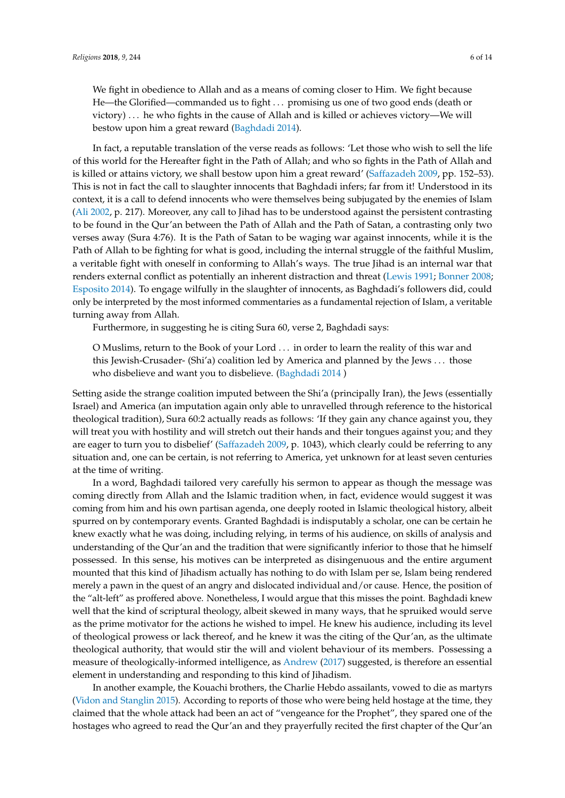We fight in obedience to Allah and as a means of coming closer to Him. We fight because He—the Glorified—commanded us to fight . . . promising us one of two good ends (death or victory) . . . he who fights in the cause of Allah and is killed or achieves victory—We will bestow upon him a great reward [\(Baghdadi](#page-10-18) [2014\)](#page-10-18).

In fact, a reputable translation of the verse reads as follows: 'Let those who wish to sell the life of this world for the Hereafter fight in the Path of Allah; and who so fights in the Path of Allah and is killed or attains victory, we shall bestow upon him a great reward' [\(Saffazadeh](#page-12-13) [2009,](#page-12-13) pp. 152–53). This is not in fact the call to slaughter innocents that Baghdadi infers; far from it! Understood in its context, it is a call to defend innocents who were themselves being subjugated by the enemies of Islam [\(Ali](#page-9-4) [2002,](#page-9-4) p. 217). Moreover, any call to Jihad has to be understood against the persistent contrasting to be found in the Qur'an between the Path of Allah and the Path of Satan, a contrasting only two verses away (Sura 4:76). It is the Path of Satan to be waging war against innocents, while it is the Path of Allah to be fighting for what is good, including the internal struggle of the faithful Muslim, a veritable fight with oneself in conforming to Allah's ways. The true Jihad is an internal war that renders external conflict as potentially an inherent distraction and threat [\(Lewis](#page-11-13) [1991;](#page-11-13) [Bonner](#page-10-19) [2008;](#page-10-19) [Esposito](#page-10-20) [2014\)](#page-10-20). To engage wilfully in the slaughter of innocents, as Baghdadi's followers did, could only be interpreted by the most informed commentaries as a fundamental rejection of Islam, a veritable turning away from Allah.

Furthermore, in suggesting he is citing Sura 60, verse 2, Baghdadi says:

O Muslims, return to the Book of your Lord . . . in order to learn the reality of this war and this Jewish-Crusader- (Shi'a) coalition led by America and planned by the Jews . . . those who disbelieve and want you to disbelieve. [\(Baghdadi](#page-10-18) [2014](#page-10-18) )

Setting aside the strange coalition imputed between the Shi'a (principally Iran), the Jews (essentially Israel) and America (an imputation again only able to unravelled through reference to the historical theological tradition), Sura 60:2 actually reads as follows: 'If they gain any chance against you, they will treat you with hostility and will stretch out their hands and their tongues against you; and they are eager to turn you to disbelief' [\(Saffazadeh](#page-12-13) [2009,](#page-12-13) p. 1043), which clearly could be referring to any situation and, one can be certain, is not referring to America, yet unknown for at least seven centuries at the time of writing.

In a word, Baghdadi tailored very carefully his sermon to appear as though the message was coming directly from Allah and the Islamic tradition when, in fact, evidence would suggest it was coming from him and his own partisan agenda, one deeply rooted in Islamic theological history, albeit spurred on by contemporary events. Granted Baghdadi is indisputably a scholar, one can be certain he knew exactly what he was doing, including relying, in terms of his audience, on skills of analysis and understanding of the Qur'an and the tradition that were significantly inferior to those that he himself possessed. In this sense, his motives can be interpreted as disingenuous and the entire argument mounted that this kind of Jihadism actually has nothing to do with Islam per se, Islam being rendered merely a pawn in the quest of an angry and dislocated individual and/or cause. Hence, the position of the "alt-left" as proffered above. Nonetheless, I would argue that this misses the point. Baghdadi knew well that the kind of scriptural theology, albeit skewed in many ways, that he spruiked would serve as the prime motivator for the actions he wished to impel. He knew his audience, including its level of theological prowess or lack thereof, and he knew it was the citing of the Qur'an, as the ultimate theological authority, that would stir the will and violent behaviour of its members. Possessing a measure of theologically-informed intelligence, as [Andrew](#page-10-14) [\(2017\)](#page-10-14) suggested, is therefore an essential element in understanding and responding to this kind of Jihadism.

In another example, the Kouachi brothers, the Charlie Hebdo assailants, vowed to die as martyrs [\(Vidon and Stanglin](#page-12-14) [2015\)](#page-12-14). According to reports of those who were being held hostage at the time, they claimed that the whole attack had been an act of "vengeance for the Prophet", they spared one of the hostages who agreed to read the Qur'an and they prayerfully recited the first chapter of the Qur'an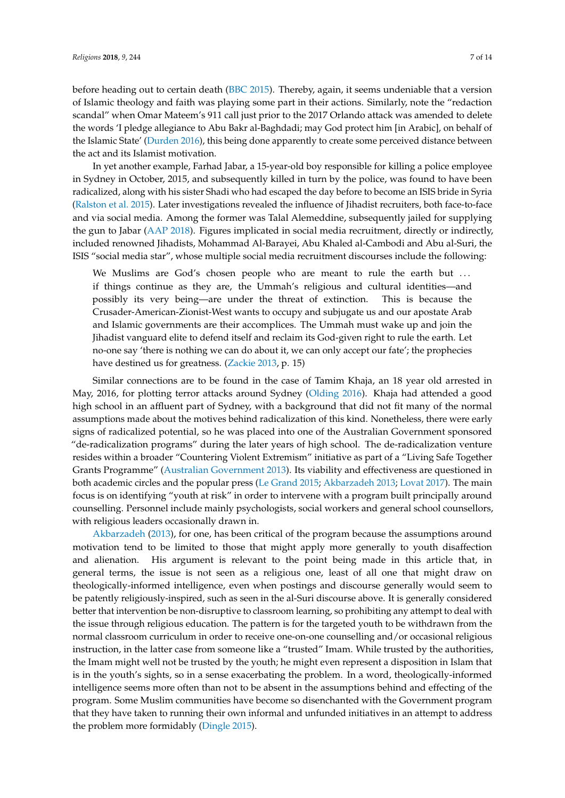before heading out to certain death [\(BBC](#page-10-21) [2015\)](#page-10-21). Thereby, again, it seems undeniable that a version of Islamic theology and faith was playing some part in their actions. Similarly, note the "redaction scandal" when Omar Mateem's 911 call just prior to the 2017 Orlando attack was amended to delete the words 'I pledge allegiance to Abu Bakr al-Baghdadi; may God protect him [in Arabic], on behalf of the Islamic State' [\(Durden](#page-10-22) [2016\)](#page-10-22), this being done apparently to create some perceived distance between the act and its Islamist motivation.

In yet another example, Farhad Jabar, a 15-year-old boy responsible for killing a police employee in Sydney in October, 2015, and subsequently killed in turn by the police, was found to have been radicalized, along with his sister Shadi who had escaped the day before to become an ISIS bride in Syria [\(Ralston et al.](#page-12-15) [2015\)](#page-12-15). Later investigations revealed the influence of Jihadist recruiters, both face-to-face and via social media. Among the former was Talal Alemeddine, subsequently jailed for supplying the gun to Jabar [\(AAP](#page-9-5) [2018\)](#page-9-5). Figures implicated in social media recruitment, directly or indirectly, included renowned Jihadists, Mohammad Al-Barayei, Abu Khaled al-Cambodi and Abu al-Suri, the ISIS "social media star", whose multiple social media recruitment discourses include the following:

We Muslims are God's chosen people who are meant to rule the earth but ... if things continue as they are, the Ummah's religious and cultural identities—and possibly its very being—are under the threat of extinction. This is because the Crusader-American-Zionist-West wants to occupy and subjugate us and our apostate Arab and Islamic governments are their accomplices. The Ummah must wake up and join the Jihadist vanguard elite to defend itself and reclaim its God-given right to rule the earth. Let no-one say 'there is nothing we can do about it, we can only accept our fate'; the prophecies have destined us for greatness. [\(Zackie](#page-12-16) [2013,](#page-12-16) p. 15)

Similar connections are to be found in the case of Tamim Khaja, an 18 year old arrested in May, 2016, for plotting terror attacks around Sydney [\(Olding](#page-12-17) [2016\)](#page-12-17). Khaja had attended a good high school in an affluent part of Sydney, with a background that did not fit many of the normal assumptions made about the motives behind radicalization of this kind. Nonetheless, there were early signs of radicalized potential, so he was placed into one of the Australian Government sponsored "de-radicalization programs" during the later years of high school. The de-radicalization venture resides within a broader "Countering Violent Extremism" initiative as part of a "Living Safe Together Grants Programme" [\(Australian Government](#page-10-23) [2013\)](#page-10-23). Its viability and effectiveness are questioned in both academic circles and the popular press [\(Le Grand](#page-11-14) [2015;](#page-11-14) [Akbarzadeh](#page-9-6) [2013;](#page-9-6) [Lovat](#page-11-15) [2017\)](#page-11-15). The main focus is on identifying "youth at risk" in order to intervene with a program built principally around counselling. Personnel include mainly psychologists, social workers and general school counsellors, with religious leaders occasionally drawn in.

[Akbarzadeh](#page-9-6) [\(2013\)](#page-9-6), for one, has been critical of the program because the assumptions around motivation tend to be limited to those that might apply more generally to youth disaffection and alienation. His argument is relevant to the point being made in this article that, in general terms, the issue is not seen as a religious one, least of all one that might draw on theologically-informed intelligence, even when postings and discourse generally would seem to be patently religiously-inspired, such as seen in the al-Suri discourse above. It is generally considered better that intervention be non-disruptive to classroom learning, so prohibiting any attempt to deal with the issue through religious education. The pattern is for the targeted youth to be withdrawn from the normal classroom curriculum in order to receive one-on-one counselling and/or occasional religious instruction, in the latter case from someone like a "trusted" Imam. While trusted by the authorities, the Imam might well not be trusted by the youth; he might even represent a disposition in Islam that is in the youth's sights, so in a sense exacerbating the problem. In a word, theologically-informed intelligence seems more often than not to be absent in the assumptions behind and effecting of the program. Some Muslim communities have become so disenchanted with the Government program that they have taken to running their own informal and unfunded initiatives in an attempt to address the problem more formidably [\(Dingle](#page-10-24) [2015\)](#page-10-24).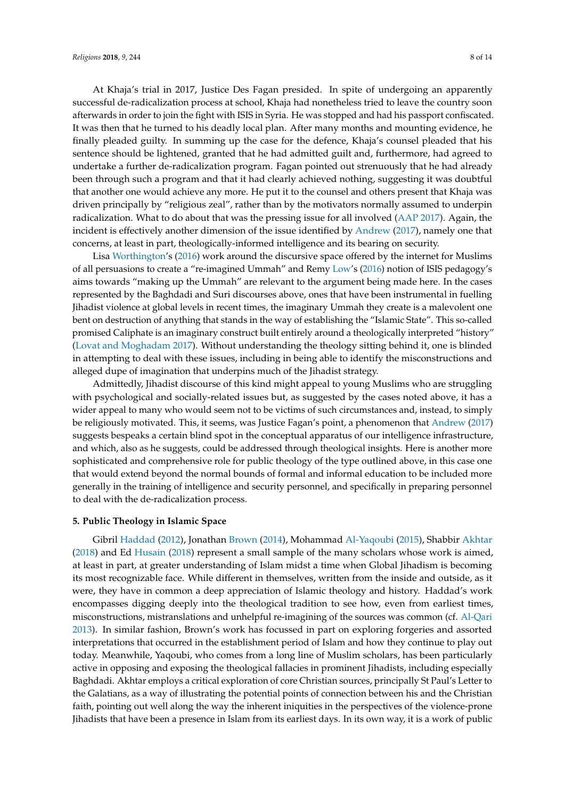At Khaja's trial in 2017, Justice Des Fagan presided. In spite of undergoing an apparently successful de-radicalization process at school, Khaja had nonetheless tried to leave the country soon afterwards in order to join the fight with ISIS in Syria. He was stopped and had his passport confiscated. It was then that he turned to his deadly local plan. After many months and mounting evidence, he finally pleaded guilty. In summing up the case for the defence, Khaja's counsel pleaded that his sentence should be lightened, granted that he had admitted guilt and, furthermore, had agreed to undertake a further de-radicalization program. Fagan pointed out strenuously that he had already been through such a program and that it had clearly achieved nothing, suggesting it was doubtful that another one would achieve any more. He put it to the counsel and others present that Khaja was driven principally by "religious zeal", rather than by the motivators normally assumed to underpin radicalization. What to do about that was the pressing issue for all involved [\(AAP](#page-9-7) [2017\)](#page-9-7). Again, the incident is effectively another dimension of the issue identified by [Andrew](#page-10-14) [\(2017\)](#page-10-14), namely one that concerns, at least in part, theologically-informed intelligence and its bearing on security.

Lisa [Worthington'](#page-12-18)s [\(2016\)](#page-12-18) work around the discursive space offered by the internet for Muslims of all persuasions to create a "re-imagined Ummah" and Remy [Low'](#page-11-16)s [\(2016\)](#page-11-16) notion of ISIS pedagogy's aims towards "making up the Ummah" are relevant to the argument being made here. In the cases represented by the Baghdadi and Suri discourses above, ones that have been instrumental in fuelling Jihadist violence at global levels in recent times, the imaginary Ummah they create is a malevolent one bent on destruction of anything that stands in the way of establishing the "Islamic State". This so-called promised Caliphate is an imaginary construct built entirely around a theologically interpreted "history" [\(Lovat and Moghadam](#page-11-17) [2017\)](#page-11-17). Without understanding the theology sitting behind it, one is blinded in attempting to deal with these issues, including in being able to identify the misconstructions and alleged dupe of imagination that underpins much of the Jihadist strategy.

Admittedly, Jihadist discourse of this kind might appeal to young Muslims who are struggling with psychological and socially-related issues but, as suggested by the cases noted above, it has a wider appeal to many who would seem not to be victims of such circumstances and, instead, to simply be religiously motivated. This, it seems, was Justice Fagan's point, a phenomenon that [Andrew](#page-10-14) [\(2017\)](#page-10-14) suggests bespeaks a certain blind spot in the conceptual apparatus of our intelligence infrastructure, and which, also as he suggests, could be addressed through theological insights. Here is another more sophisticated and comprehensive role for public theology of the type outlined above, in this case one that would extend beyond the normal bounds of formal and informal education to be included more generally in the training of intelligence and security personnel, and specifically in preparing personnel to deal with the de-radicalization process.

#### **5. Public Theology in Islamic Space**

Gibril [Haddad](#page-10-25) [\(2012\)](#page-10-25), Jonathan [Brown](#page-10-26) [\(2014\)](#page-10-26), Mohammad [Al-Yaqoubi](#page-10-27) [\(2015\)](#page-10-27), Shabbir [Akhtar](#page-9-8) [\(2018\)](#page-9-8) and Ed [Husain](#page-10-28) [\(2018\)](#page-10-28) represent a small sample of the many scholars whose work is aimed, at least in part, at greater understanding of Islam midst a time when Global Jihadism is becoming its most recognizable face. While different in themselves, written from the inside and outside, as it were, they have in common a deep appreciation of Islamic theology and history. Haddad's work encompasses digging deeply into the theological tradition to see how, even from earliest times, misconstructions, mistranslations and unhelpful re-imagining of the sources was common (cf. [Al-Qari](#page-9-9) [2013\)](#page-9-9). In similar fashion, Brown's work has focussed in part on exploring forgeries and assorted interpretations that occurred in the establishment period of Islam and how they continue to play out today. Meanwhile, Yaqoubi, who comes from a long line of Muslim scholars, has been particularly active in opposing and exposing the theological fallacies in prominent Jihadists, including especially Baghdadi. Akhtar employs a critical exploration of core Christian sources, principally St Paul's Letter to the Galatians, as a way of illustrating the potential points of connection between his and the Christian faith, pointing out well along the way the inherent iniquities in the perspectives of the violence-prone Jihadists that have been a presence in Islam from its earliest days. In its own way, it is a work of public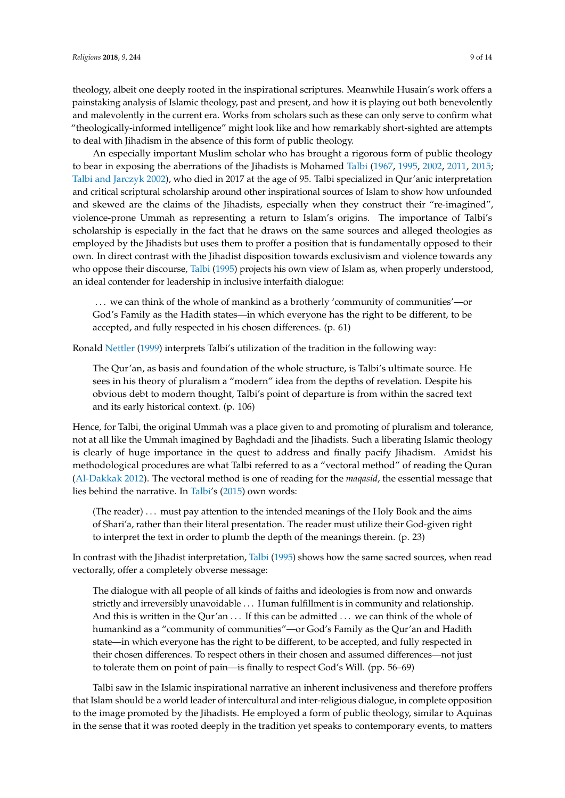theology, albeit one deeply rooted in the inspirational scriptures. Meanwhile Husain's work offers a painstaking analysis of Islamic theology, past and present, and how it is playing out both benevolently and malevolently in the current era. Works from scholars such as these can only serve to confirm what "theologically-informed intelligence" might look like and how remarkably short-sighted are attempts to deal with Jihadism in the absence of this form of public theology.

An especially important Muslim scholar who has brought a rigorous form of public theology to bear in exposing the aberrations of the Jihadists is Mohamed [Talbi](#page-12-19) [\(1967,](#page-12-19) [1995,](#page-12-20) [2002,](#page-12-21) [2011,](#page-12-22) [2015;](#page-12-23) [Talbi and Jarczyk](#page-12-24) [2002\)](#page-12-24), who died in 2017 at the age of 95. Talbi specialized in Qur'anic interpretation and critical scriptural scholarship around other inspirational sources of Islam to show how unfounded and skewed are the claims of the Jihadists, especially when they construct their "re-imagined", violence-prone Ummah as representing a return to Islam's origins. The importance of Talbi's scholarship is especially in the fact that he draws on the same sources and alleged theologies as employed by the Jihadists but uses them to proffer a position that is fundamentally opposed to their own. In direct contrast with the Jihadist disposition towards exclusivism and violence towards any who oppose their discourse, [Talbi](#page-12-20) [\(1995\)](#page-12-20) projects his own view of Islam as, when properly understood, an ideal contender for leadership in inclusive interfaith dialogue:

... we can think of the whole of mankind as a brotherly 'community of communities'—or God's Family as the Hadith states—in which everyone has the right to be different, to be accepted, and fully respected in his chosen differences. (p. 61)

Ronald [Nettler](#page-11-18) [\(1999\)](#page-11-18) interprets Talbi's utilization of the tradition in the following way:

The Qur'an, as basis and foundation of the whole structure, is Talbi's ultimate source. He sees in his theory of pluralism a "modern" idea from the depths of revelation. Despite his obvious debt to modern thought, Talbi's point of departure is from within the sacred text and its early historical context. (p. 106)

Hence, for Talbi, the original Ummah was a place given to and promoting of pluralism and tolerance, not at all like the Ummah imagined by Baghdadi and the Jihadists. Such a liberating Islamic theology is clearly of huge importance in the quest to address and finally pacify Jihadism. Amidst his methodological procedures are what Talbi referred to as a "vectoral method" of reading the Quran [\(Al-Dakkak](#page-9-10) [2012\)](#page-9-10). The vectoral method is one of reading for the *maqasid*, the essential message that lies behind the narrative. In [Talbi'](#page-12-23)s [\(2015\)](#page-12-23) own words:

(The reader) . . . must pay attention to the intended meanings of the Holy Book and the aims of Shari'a, rather than their literal presentation. The reader must utilize their God-given right to interpret the text in order to plumb the depth of the meanings therein. (p. 23)

In contrast with the Jihadist interpretation, [Talbi](#page-12-20) [\(1995\)](#page-12-20) shows how the same sacred sources, when read vectorally, offer a completely obverse message:

The dialogue with all people of all kinds of faiths and ideologies is from now and onwards strictly and irreversibly unavoidable . . . Human fulfillment is in community and relationship. And this is written in the Qur'an ... If this can be admitted ... we can think of the whole of humankind as a "community of communities"—or God's Family as the Qur'an and Hadith state—in which everyone has the right to be different, to be accepted, and fully respected in their chosen differences. To respect others in their chosen and assumed differences—not just to tolerate them on point of pain—is finally to respect God's Will. (pp. 56–69)

Talbi saw in the Islamic inspirational narrative an inherent inclusiveness and therefore proffers that Islam should be a world leader of intercultural and inter-religious dialogue, in complete opposition to the image promoted by the Jihadists. He employed a form of public theology, similar to Aquinas in the sense that it was rooted deeply in the tradition yet speaks to contemporary events, to matters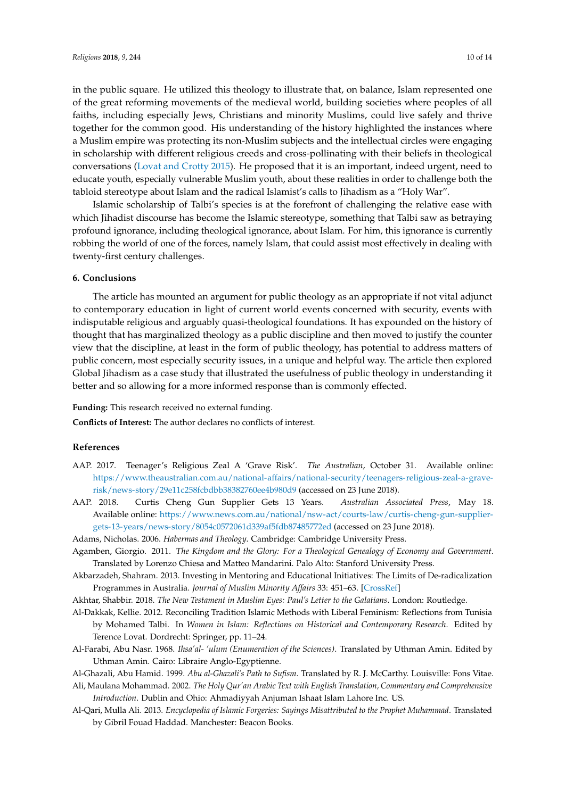in the public square. He utilized this theology to illustrate that, on balance, Islam represented one of the great reforming movements of the medieval world, building societies where peoples of all faiths, including especially Jews, Christians and minority Muslims, could live safely and thrive together for the common good. His understanding of the history highlighted the instances where a Muslim empire was protecting its non-Muslim subjects and the intellectual circles were engaging in scholarship with different religious creeds and cross-pollinating with their beliefs in theological conversations [\(Lovat and Crotty](#page-11-19) [2015\)](#page-11-19). He proposed that it is an important, indeed urgent, need to educate youth, especially vulnerable Muslim youth, about these realities in order to challenge both the tabloid stereotype about Islam and the radical Islamist's calls to Jihadism as a "Holy War".

Islamic scholarship of Talbi's species is at the forefront of challenging the relative ease with which Jihadist discourse has become the Islamic stereotype, something that Talbi saw as betraying profound ignorance, including theological ignorance, about Islam. For him, this ignorance is currently robbing the world of one of the forces, namely Islam, that could assist most effectively in dealing with twenty-first century challenges.

#### **6. Conclusions**

The article has mounted an argument for public theology as an appropriate if not vital adjunct to contemporary education in light of current world events concerned with security, events with indisputable religious and arguably quasi-theological foundations. It has expounded on the history of thought that has marginalized theology as a public discipline and then moved to justify the counter view that the discipline, at least in the form of public theology, has potential to address matters of public concern, most especially security issues, in a unique and helpful way. The article then explored Global Jihadism as a case study that illustrated the usefulness of public theology in understanding it better and so allowing for a more informed response than is commonly effected.

**Funding:** This research received no external funding.

**Conflicts of Interest:** The author declares no conflicts of interest.

### **References**

- <span id="page-9-7"></span>AAP. 2017. Teenager's Religious Zeal A 'Grave Risk'. *The Australian*, October 31. Available online: [https://www.theaustralian.com.au/national-affairs/national-security/teenagers-religious-zeal-a-grave](https://www.theaustralian.com.au/national-affairs/national-security/teenagers-religious-zeal-a-grave-risk/news-story/29e11c258fcbdbb38382760ee4b980d9)[risk/news-story/29e11c258fcbdbb38382760ee4b980d9](https://www.theaustralian.com.au/national-affairs/national-security/teenagers-religious-zeal-a-grave-risk/news-story/29e11c258fcbdbb38382760ee4b980d9) (accessed on 23 June 2018).
- <span id="page-9-5"></span>AAP. 2018. Curtis Cheng Gun Supplier Gets 13 Years. *Australian Associated Press*, May 18. Available online: [https://www.news.com.au/national/nsw-act/courts-law/curtis-cheng-gun-supplier](https://www.news.com.au/national/nsw-act/courts-law/curtis-cheng-gun-supplier-gets-13-years/news-story/8054c0572061d339af5fdb87485772ed)[gets-13-years/news-story/8054c0572061d339af5fdb87485772ed](https://www.news.com.au/national/nsw-act/courts-law/curtis-cheng-gun-supplier-gets-13-years/news-story/8054c0572061d339af5fdb87485772ed) (accessed on 23 June 2018).

<span id="page-9-3"></span>Adams, Nicholas. 2006. *Habermas and Theology*. Cambridge: Cambridge University Press.

- <span id="page-9-2"></span>Agamben, Giorgio. 2011. *The Kingdom and the Glory: For a Theological Genealogy of Economy and Government*. Translated by Lorenzo Chiesa and Matteo Mandarini. Palo Alto: Stanford University Press.
- <span id="page-9-6"></span>Akbarzadeh, Shahram. 2013. Investing in Mentoring and Educational Initiatives: The Limits of De-radicalization Programmes in Australia. *Journal of Muslim Minority Affairs* 33: 451–63. [\[CrossRef\]](http://dx.doi.org/10.1080/13602004.2013.866347)
- <span id="page-9-10"></span><span id="page-9-8"></span>Akhtar, Shabbir. 2018. *The New Testament in Muslim Eyes: Paul's Letter to the Galatians*. London: Routledge.
- Al-Dakkak, Kellie. 2012. Reconciling Tradition Islamic Methods with Liberal Feminism: Reflections from Tunisia by Mohamed Talbi. In *Women in Islam: Reflections on Historical and Contemporary Research*. Edited by Terence Lovat. Dordrecht: Springer, pp. 11–24.
- <span id="page-9-0"></span>Al-Farabi, Abu Nasr. 1968. *Ihsa'al- 'ulum (Enumeration of the Sciences)*. Translated by Uthman Amin. Edited by Uthman Amin. Cairo: Libraire Anglo-Egyptienne.

<span id="page-9-1"></span>Al-Ghazali, Abu Hamid. 1999. *Abu al-Ghazali's Path to Sufism*. Translated by R. J. McCarthy. Louisville: Fons Vitae.

- <span id="page-9-4"></span>Ali, Maulana Mohammad. 2002. *The Holy Qur'an Arabic Text with English Translation, Commentary and Comprehensive Introduction*. Dublin and Ohio: Ahmadiyyah Anjuman Ishaat Islam Lahore Inc. US.
- <span id="page-9-9"></span>Al-Qari, Mulla Ali. 2013. *Encyclopedia of Islamic Forgeries: Sayings Misattributed to the Prophet Muhammad*. Translated by Gibril Fouad Haddad. Manchester: Beacon Books.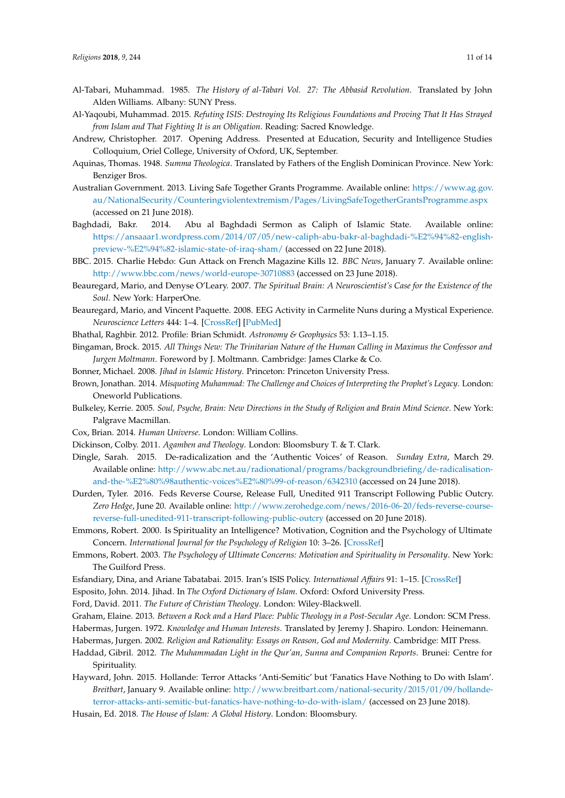- <span id="page-10-17"></span>Al-Tabari, Muhammad. 1985. *The History of al-Tabari Vol. 27: The Abbasid Revolution*. Translated by John Alden Williams. Albany: SUNY Press.
- <span id="page-10-27"></span>Al-Yaqoubi, Muhammad. 2015. *Refuting ISIS: Destroying Its Religious Foundations and Proving That It Has Strayed from Islam and That Fighting It is an Obligation*. Reading: Sacred Knowledge.
- <span id="page-10-14"></span>Andrew, Christopher. 2017. Opening Address. Presented at Education, Security and Intelligence Studies Colloquium, Oriel College, University of Oxford, UK, September.
- <span id="page-10-1"></span>Aquinas, Thomas. 1948. *Summa Theologica*. Translated by Fathers of the English Dominican Province. New York: Benziger Bros.
- <span id="page-10-23"></span>Australian Government. 2013. Living Safe Together Grants Programme. Available online: [https://www.ag.gov.](https://www.ag.gov.au/NationalSecurity/Counteringviolentextremism/Pages/LivingSafeTogetherGrantsProgramme.aspx) [au/NationalSecurity/Counteringviolentextremism/Pages/LivingSafeTogetherGrantsProgramme.aspx](https://www.ag.gov.au/NationalSecurity/Counteringviolentextremism/Pages/LivingSafeTogetherGrantsProgramme.aspx) (accessed on 21 June 2018).
- <span id="page-10-18"></span>Baghdadi, Bakr. 2014. Abu al Baghdadi Sermon as Caliph of Islamic State. Available online: [https://ansaaar1.wordpress.com/2014/07/05/new-caliph-abu-bakr-al-baghdadi-%E2%94%82-english](https://ansaaar1.wordpress.com/2014/07/05/new-caliph-abu-bakr-al-baghdadi-%E2%94%82-english-preview-%E2%94%82-islamic-state-of-iraq-sham/)[preview-%E2%94%82-islamic-state-of-iraq-sham/](https://ansaaar1.wordpress.com/2014/07/05/new-caliph-abu-bakr-al-baghdadi-%E2%94%82-english-preview-%E2%94%82-islamic-state-of-iraq-sham/) (accessed on 22 June 2018).
- <span id="page-10-21"></span>BBC. 2015. Charlie Hebdo: Gun Attack on French Magazine Kills 12. *BBC News*, January 7. Available online: <http://www.bbc.com/news/world-europe-30710883> (accessed on 23 June 2018).
- <span id="page-10-7"></span>Beauregard, Mario, and Denyse O'Leary. 2007. *The Spiritual Brain: A Neuroscientist's Case for the Existence of the Soul*. New York: HarperOne.
- <span id="page-10-8"></span>Beauregard, Mario, and Vincent Paquette. 2008. EEG Activity in Carmelite Nuns during a Mystical Experience. *Neuroscience Letters* 444: 1–4. [\[CrossRef\]](http://dx.doi.org/10.1016/j.neulet.2008.08.028) [\[PubMed\]](http://www.ncbi.nlm.nih.gov/pubmed/18721862)

<span id="page-10-5"></span>Bhathal, Raghbir. 2012. Profile: Brian Schmidt. *Astronomy & Geophysics* 53: 1.13–1.15.

- <span id="page-10-3"></span>Bingaman, Brock. 2015. *All Things New: The Trinitarian Nature of the Human Calling in Maximus the Confessor and Jurgen Moltmann*. Foreword by J. Moltmann. Cambridge: James Clarke & Co.
- <span id="page-10-19"></span>Bonner, Michael. 2008. *Jihad in Islamic History*. Princeton: Princeton University Press.
- <span id="page-10-26"></span>Brown, Jonathan. 2014. *Misquoting Muhammad: The Challenge and Choices of Interpreting the Prophet's Legacy*. London: Oneworld Publications.
- <span id="page-10-11"></span>Bulkeley, Kerrie. 2005. *Soul, Psyche, Brain: New Directions in the Study of Religion and Brain Mind Science*. New York: Palgrave Macmillan.
- <span id="page-10-12"></span><span id="page-10-6"></span>Cox, Brian. 2014. *Human Universe*. London: William Collins.
- Dickinson, Colby. 2011. *Agamben and Theology*. London: Bloomsbury T. & T. Clark.
- <span id="page-10-24"></span>Dingle, Sarah. 2015. De-radicalization and the 'Authentic Voices' of Reason. *Sunday Extra*, March 29. Available online: [http://www.abc.net.au/radionational/programs/backgroundbriefing/de-radicalisation](http://www.abc.net.au/radionational/programs/backgroundbriefing/de-radicalisation-and-the-%E2%80%98authentic-voices%E2%80%99-of-reason/6342310)[and-the-%E2%80%98authentic-voices%E2%80%99-of-reason/6342310](http://www.abc.net.au/radionational/programs/backgroundbriefing/de-radicalisation-and-the-%E2%80%98authentic-voices%E2%80%99-of-reason/6342310) (accessed on 24 June 2018).
- <span id="page-10-22"></span>Durden, Tyler. 2016. Feds Reverse Course, Release Full, Unedited 911 Transcript Following Public Outcry. *Zero Hedge*, June 20. Available online: [http://www.zerohedge.com/news/2016-06-20/feds-reverse-course](http://www.zerohedge.com/news/2016-06-20/feds-reverse-course-reverse-full-unedited-911-transcript-following-public-outcry)[reverse-full-unedited-911-transcript-following-public-outcry](http://www.zerohedge.com/news/2016-06-20/feds-reverse-course-reverse-full-unedited-911-transcript-following-public-outcry) (accessed on 20 June 2018).
- <span id="page-10-9"></span>Emmons, Robert. 2000. Is Spirituality an Intelligence? Motivation, Cognition and the Psychology of Ultimate Concern. *International Journal for the Psychology of Religion* 10: 3–26. [\[CrossRef\]](http://dx.doi.org/10.1207/S15327582IJPR1001_2)
- <span id="page-10-10"></span>Emmons, Robert. 2003. *The Psychology of Ultimate Concerns: Motivation and Spirituality in Personality*. New York: The Guilford Press.
- <span id="page-10-16"></span>Esfandiary, Dina, and Ariane Tabatabai. 2015. Iran's ISIS Policy. *International Affairs* 91: 1–15. [\[CrossRef\]](http://dx.doi.org/10.1111/1468-2346.12183)
- <span id="page-10-20"></span><span id="page-10-0"></span>Esposito, John. 2014. Jihad. In *The Oxford Dictionary of Islam*. Oxford: Oxford University Press.

Ford, David. 2011. *The Future of Christian Theology*. London: Wiley-Blackwell.

- <span id="page-10-4"></span><span id="page-10-2"></span>Graham, Elaine. 2013. *Between a Rock and a Hard Place: Public Theology in a Post-Secular Age*. London: SCM Press.
- Habermas, Jurgen. 1972. *Knowledge and Human Interests*. Translated by Jeremy J. Shapiro. London: Heinemann.
- <span id="page-10-13"></span>Habermas, Jurgen. 2002. *Religion and Rationality: Essays on Reason, God and Modernity*. Cambridge: MIT Press.
- <span id="page-10-25"></span>Haddad, Gibril. 2012. *The Muhammadan Light in the Qur'an, Sunna and Companion Reports*. Brunei: Centre for Spirituality.
- <span id="page-10-15"></span>Hayward, John. 2015. Hollande: Terror Attacks 'Anti-Semitic' but 'Fanatics Have Nothing to Do with Islam'. *Breitbart*, January 9. Available online: [http://www.breitbart.com/national-security/2015/01/09/hollande](http://www.breitbart.com/national-security/2015/01/09/hollande-terror-attacks-anti-semitic-but-fanatics-have-nothing-to-do-with-islam/)[terror-attacks-anti-semitic-but-fanatics-have-nothing-to-do-with-islam/](http://www.breitbart.com/national-security/2015/01/09/hollande-terror-attacks-anti-semitic-but-fanatics-have-nothing-to-do-with-islam/) (accessed on 23 June 2018).
- <span id="page-10-28"></span>Husain, Ed. 2018. *The House of Islam: A Global History*. London: Bloomsbury.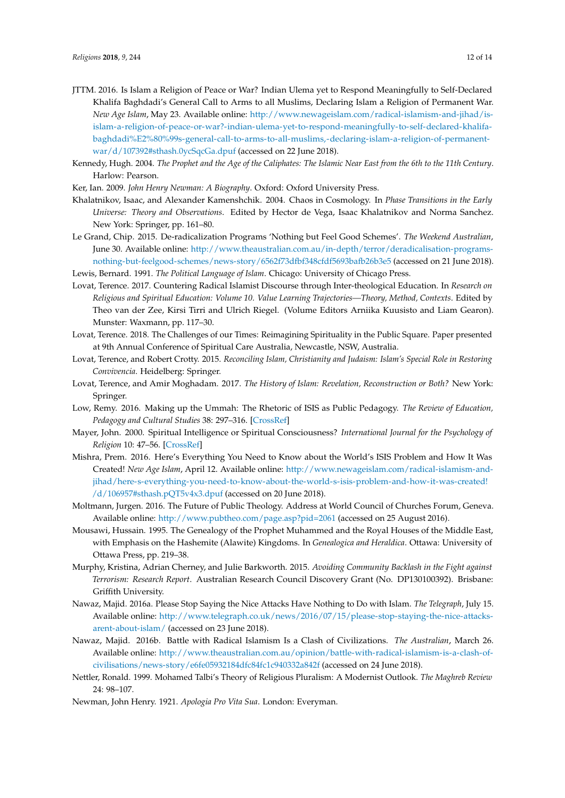- <span id="page-11-9"></span>JTTM. 2016. Is Islam a Religion of Peace or War? Indian Ulema yet to Respond Meaningfully to Self-Declared Khalifa Baghdadi's General Call to Arms to all Muslims, Declaring Islam a Religion of Permanent War. *New Age Islam*, May 23. Available online: [http://www.newageislam.com/radical-islamism-and-jihad/is](http://www.newageislam.com/radical-islamism-and-jihad/is-islam-a-religion-of-peace-or-war?-indian-ulema-yet-to-respond-meaningfully-to-self-declared-khalifa-baghdadi%E2%80%99s-general-call-to-arms-to-all-muslims,-declaring-islam-a-religion-of-permanent-war/d/107392#sthash.0ycSqcGa.dpuf)[islam-a-religion-of-peace-or-war?-indian-ulema-yet-to-respond-meaningfully-to-self-declared-khalifa](http://www.newageislam.com/radical-islamism-and-jihad/is-islam-a-religion-of-peace-or-war?-indian-ulema-yet-to-respond-meaningfully-to-self-declared-khalifa-baghdadi%E2%80%99s-general-call-to-arms-to-all-muslims,-declaring-islam-a-religion-of-permanent-war/d/107392#sthash.0ycSqcGa.dpuf)[baghdadi%E2%80%99s-general-call-to-arms-to-all-muslims,-declaring-islam-a-religion-of-permanent](http://www.newageislam.com/radical-islamism-and-jihad/is-islam-a-religion-of-peace-or-war?-indian-ulema-yet-to-respond-meaningfully-to-self-declared-khalifa-baghdadi%E2%80%99s-general-call-to-arms-to-all-muslims,-declaring-islam-a-religion-of-permanent-war/d/107392#sthash.0ycSqcGa.dpuf)[war/d/107392#sthash.0ycSqcGa.dpuf](http://www.newageislam.com/radical-islamism-and-jihad/is-islam-a-religion-of-peace-or-war?-indian-ulema-yet-to-respond-meaningfully-to-self-declared-khalifa-baghdadi%E2%80%99s-general-call-to-arms-to-all-muslims,-declaring-islam-a-religion-of-permanent-war/d/107392#sthash.0ycSqcGa.dpuf) (accessed on 22 June 2018).
- <span id="page-11-10"></span>Kennedy, Hugh. 2004. *The Prophet and the Age of the Caliphates: The Islamic Near East from the 6th to the 11th Century*. Harlow: Pearson.
- <span id="page-11-1"></span>Ker, Ian. 2009. *John Henry Newman: A Biography*. Oxford: Oxford University Press.
- <span id="page-11-3"></span>Khalatnikov, Isaac, and Alexander Kamenshchik. 2004. Chaos in Cosmology. In *Phase Transitions in the Early Universe: Theory and Observations*. Edited by Hector de Vega, Isaac Khalatnikov and Norma Sanchez. New York: Springer, pp. 161–80.
- <span id="page-11-14"></span>Le Grand, Chip. 2015. De-radicalization Programs 'Nothing but Feel Good Schemes'. *The Weekend Australian*, June 30. Available online: [http://www.theaustralian.com.au/in-depth/terror/deradicalisation-programs](http://www.theaustralian.com.au/in-depth/terror/deradicalisation-programs-nothing-but-feelgood-schemes/news-story/6562f73dfbf348cfdf5693bafb26b3e5)[nothing-but-feelgood-schemes/news-story/6562f73dfbf348cfdf5693bafb26b3e5](http://www.theaustralian.com.au/in-depth/terror/deradicalisation-programs-nothing-but-feelgood-schemes/news-story/6562f73dfbf348cfdf5693bafb26b3e5) (accessed on 21 June 2018).

<span id="page-11-13"></span>Lewis, Bernard. 1991. *The Political Language of Islam*. Chicago: University of Chicago Press.

- <span id="page-11-15"></span>Lovat, Terence. 2017. Countering Radical Islamist Discourse through Inter-theological Education. In *Research on Religious and Spiritual Education: Volume 10. Value Learning Trajectories—Theory, Method, Contexts*. Edited by Theo van der Zee, Kirsi Tirri and Ulrich Riegel. (Volume Editors Arniika Kuusisto and Liam Gearon). Munster: Waxmann, pp. 117–30.
- <span id="page-11-4"></span>Lovat, Terence. 2018. The Challenges of our Times: Reimagining Spirituality in the Public Square. Paper presented at 9th Annual Conference of Spiritual Care Australia, Newcastle, NSW, Australia.
- <span id="page-11-19"></span>Lovat, Terence, and Robert Crotty. 2015. *Reconciling Islam, Christianity and Judaism: Islam's Special Role in Restoring Convivencia*. Heidelberg: Springer.
- <span id="page-11-17"></span>Lovat, Terence, and Amir Moghadam. 2017. *The History of Islam: Revelation, Reconstruction or Both?* New York: Springer.
- <span id="page-11-16"></span>Low, Remy. 2016. Making up the Ummah: The Rhetoric of ISIS as Public Pedagogy. *The Review of Education, Pedagogy and Cultural Studies* 38: 297–316. [\[CrossRef\]](http://dx.doi.org/10.1080/10714413.2016.1203679)
- <span id="page-11-5"></span>Mayer, John. 2000. Spiritual Intelligence or Spiritual Consciousness? *International Journal for the Psychology of Religion* 10: 47–56. [\[CrossRef\]](http://dx.doi.org/10.1207/S15327582IJPR1001_5)
- <span id="page-11-11"></span>Mishra, Prem. 2016. Here's Everything You Need to Know about the World's ISIS Problem and How It Was Created! *New Age Islam*, April 12. Available online: [http://www.newageislam.com/radical-islamism-and](http://www.newageislam.com/radical-islamism-and-jihad/here-s-everything-you-need-to-know-about-the-world-s-isis-problem-and-how-it-was-created!/d/106957#sthash.pQT5v4x3.dpuf)[jihad/here-s-everything-you-need-to-know-about-the-world-s-isis-problem-and-how-it-was-created!](http://www.newageislam.com/radical-islamism-and-jihad/here-s-everything-you-need-to-know-about-the-world-s-isis-problem-and-how-it-was-created!/d/106957#sthash.pQT5v4x3.dpuf) [/d/106957#sthash.pQT5v4x3.dpuf](http://www.newageislam.com/radical-islamism-and-jihad/here-s-everything-you-need-to-know-about-the-world-s-isis-problem-and-how-it-was-created!/d/106957#sthash.pQT5v4x3.dpuf) (accessed on 20 June 2018).
- <span id="page-11-2"></span>Moltmann, Jurgen. 2016. The Future of Public Theology. Address at World Council of Churches Forum, Geneva. Available online: <http://www.pubtheo.com/page.asp?pid=2061> (accessed on 25 August 2016).
- <span id="page-11-12"></span>Mousawi, Hussain. 1995. The Genealogy of the Prophet Muhammed and the Royal Houses of the Middle East, with Emphasis on the Hashemite (Alawite) Kingdoms. In *Genealogica and Heraldica*. Ottawa: University of Ottawa Press, pp. 219–38.
- <span id="page-11-6"></span>Murphy, Kristina, Adrian Cherney, and Julie Barkworth. 2015. *Avoiding Community Backlash in the Fight against Terrorism: Research Report*. Australian Research Council Discovery Grant (No. DP130100392). Brisbane: Griffith University.
- <span id="page-11-7"></span>Nawaz, Majid. 2016a. Please Stop Saying the Nice Attacks Have Nothing to Do with Islam. *The Telegraph*, July 15. Available online: [http://www.telegraph.co.uk/news/2016/07/15/please-stop-staying-the-nice-attacks](http://www.telegraph.co.uk/news/2016/07/15/please-stop-staying-the-nice-attacks-arent-about-islam/)[arent-about-islam/](http://www.telegraph.co.uk/news/2016/07/15/please-stop-staying-the-nice-attacks-arent-about-islam/) (accessed on 23 June 2018).
- <span id="page-11-8"></span>Nawaz, Majid. 2016b. Battle with Radical Islamism Is a Clash of Civilizations. *The Australian*, March 26. Available online: [http://www.theaustralian.com.au/opinion/battle-with-radical-islamism-is-a-clash-of](http://www.theaustralian.com.au/opinion/battle-with-radical-islamism-is-a-clash-of-civilisations/news-story/e6fe05932184dfc84fc1c940332a842f)[civilisations/news-story/e6fe05932184dfc84fc1c940332a842f](http://www.theaustralian.com.au/opinion/battle-with-radical-islamism-is-a-clash-of-civilisations/news-story/e6fe05932184dfc84fc1c940332a842f) (accessed on 24 June 2018).
- <span id="page-11-18"></span>Nettler, Ronald. 1999. Mohamed Talbi's Theory of Religious Pluralism: A Modernist Outlook. *The Maghreb Review* 24: 98–107.
- <span id="page-11-0"></span>Newman, John Henry. 1921. *Apologia Pro Vita Sua*. London: Everyman.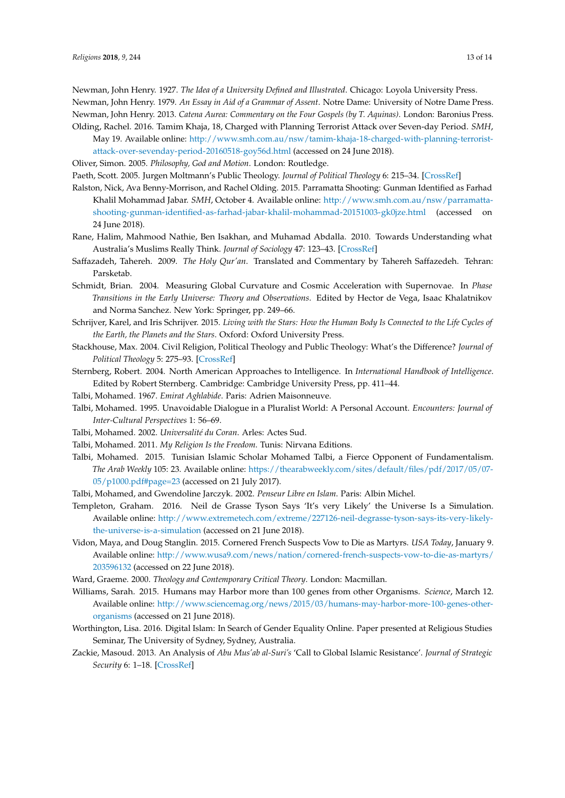<span id="page-12-1"></span>Newman, John Henry. 1927. *The Idea of a University Defined and Illustrated*. Chicago: Loyola University Press.

<span id="page-12-2"></span>Newman, John Henry. 1979. *An Essay in Aid of a Grammar of Assent*. Notre Dame: University of Notre Dame Press.

- <span id="page-12-3"></span>Newman, John Henry. 2013. *Catena Aurea: Commentary on the Four Gospels (by T. Aquinas)*. London: Baronius Press.
- <span id="page-12-17"></span>Olding, Rachel. 2016. Tamim Khaja, 18, Charged with Planning Terrorist Attack over Seven-day Period. *SMH*, May 19. Available online: [http://www.smh.com.au/nsw/tamim-khaja-18-charged-with-planning-terrorist](http://www.smh.com.au/nsw/tamim-khaja-18-charged-with-planning-terrorist-attack-over-sevenday-period-20160518-goy56d.html)[attack-over-sevenday-period-20160518-goy56d.html](http://www.smh.com.au/nsw/tamim-khaja-18-charged-with-planning-terrorist-attack-over-sevenday-period-20160518-goy56d.html) (accessed on 24 June 2018).
- <span id="page-12-11"></span><span id="page-12-5"></span>Oliver, Simon. 2005. *Philosophy, God and Motion*. London: Routledge.

<span id="page-12-15"></span>Paeth, Scott. 2005. Jurgen Moltmann's Public Theology. *Journal of Political Theology* 6: 215–34. [\[CrossRef\]](http://dx.doi.org/10.1558/poth.6.2.215.65446)

- Ralston, Nick, Ava Benny-Morrison, and Rachel Olding. 2015. Parramatta Shooting: Gunman Identified as Farhad Khalil Mohammad Jabar. *SMH*, October 4. Available online: [http://www.smh.com.au/nsw/parramatta](http://www.smh.com.au/nsw/parramatta-shooting-gunman-identified-as-farhad-jabar-khalil-mohammad-20151003-gk0jze.html)[shooting-gunman-identified-as-farhad-jabar-khalil-mohammad-20151003-gk0jze.html](http://www.smh.com.au/nsw/parramatta-shooting-gunman-identified-as-farhad-jabar-khalil-mohammad-20151003-gk0jze.html) (accessed on 24 June 2018).
- <span id="page-12-12"></span>Rane, Halim, Mahmood Nathie, Ben Isakhan, and Muhamad Abdalla. 2010. Towards Understanding what Australia's Muslims Really Think. *Journal of Sociology* 47: 123–43. [\[CrossRef\]](http://dx.doi.org/10.1177/1440783310386829)
- <span id="page-12-13"></span>Saffazadeh, Tahereh. 2009. *The Holy Qur'an*. Translated and Commentary by Tahereh Saffazedeh. Tehran: Parsketab.
- <span id="page-12-6"></span>Schmidt, Brian. 2004. Measuring Global Curvature and Cosmic Acceleration with Supernovae. In *Phase Transitions in the Early Universe: Theory and Observations*. Edited by Hector de Vega, Isaac Khalatnikov and Norma Sanchez. New York: Springer, pp. 249–66.
- <span id="page-12-8"></span>Schrijver, Karel, and Iris Schrijver. 2015. *Living with the Stars: How the Human Body Is Connected to the Life Cycles of the Earth, the Planets and the Stars*. Oxford: Oxford University Press.
- <span id="page-12-4"></span>Stackhouse, Max. 2004. Civil Religion, Political Theology and Public Theology: What's the Difference? *Journal of Political Theology* 5: 275–93. [\[CrossRef\]](http://dx.doi.org/10.1558/poth.5.3.275.36715)
- <span id="page-12-10"></span>Sternberg, Robert. 2004. North American Approaches to Intelligence. In *International Handbook of Intelligence*. Edited by Robert Sternberg. Cambridge: Cambridge University Press, pp. 411–44.
- <span id="page-12-19"></span>Talbi, Mohamed. 1967. *Emirat Aghlabide*. Paris: Adrien Maisonneuve.
- <span id="page-12-20"></span>Talbi, Mohamed. 1995. Unavoidable Dialogue in a Pluralist World: A Personal Account. *Encounters: Journal of Inter-Cultural Perspectives* 1: 56–69.
- <span id="page-12-22"></span><span id="page-12-21"></span>Talbi, Mohamed. 2002. *Universalité du Coran*. Arles: Actes Sud.
- Talbi, Mohamed. 2011. *My Religion Is the Freedom*. Tunis: Nirvana Editions.
- <span id="page-12-23"></span>Talbi, Mohamed. 2015. Tunisian Islamic Scholar Mohamed Talbi, a Fierce Opponent of Fundamentalism. *The Arab Weekly* 105: 23. Available online: [https://thearabweekly.com/sites/default/files/pdf/2017/05/07-](https://thearabweekly.com/sites/default/files/pdf/2017/05/07-05/p1000.pdf#page=23) [05/p1000.pdf#page=23](https://thearabweekly.com/sites/default/files/pdf/2017/05/07-05/p1000.pdf#page=23) (accessed on 21 July 2017).
- <span id="page-12-24"></span>Talbi, Mohamed, and Gwendoline Jarczyk. 2002. *Penseur Libre en Islam*. Paris: Albin Michel.
- <span id="page-12-7"></span>Templeton, Graham. 2016. Neil de Grasse Tyson Says 'It's very Likely' the Universe Is a Simulation. Available online: [http://www.extremetech.com/extreme/227126-neil-degrasse-tyson-says-its-very-likely](http://www.extremetech.com/extreme/227126-neil-degrasse-tyson-says-its-very-likely-the-universe-is-a-simulation)[the-universe-is-a-simulation](http://www.extremetech.com/extreme/227126-neil-degrasse-tyson-says-its-very-likely-the-universe-is-a-simulation) (accessed on 21 June 2018).
- <span id="page-12-14"></span>Vidon, Maya, and Doug Stanglin. 2015. Cornered French Suspects Vow to Die as Martyrs. *USA Today*, January 9. Available online: [http://www.wusa9.com/news/nation/cornered-french-suspects-vow-to-die-as-martyrs/](http://www.wusa9.com/news/nation/cornered-french-suspects-vow-to-die-as-martyrs/203596132) [203596132](http://www.wusa9.com/news/nation/cornered-french-suspects-vow-to-die-as-martyrs/203596132) (accessed on 22 June 2018).
- <span id="page-12-9"></span><span id="page-12-0"></span>Ward, Graeme. 2000. *Theology and Contemporary Critical Theory*. London: Macmillan.
- Williams, Sarah. 2015. Humans may Harbor more than 100 genes from other Organisms. *Science*, March 12. Available online: [http://www.sciencemag.org/news/2015/03/humans-may-harbor-more-100-genes-other](http://www.sciencemag.org/news/2015/03/humans-may-harbor-more-100-genes-other-organisms)[organisms](http://www.sciencemag.org/news/2015/03/humans-may-harbor-more-100-genes-other-organisms) (accessed on 21 June 2018).
- <span id="page-12-18"></span>Worthington, Lisa. 2016. Digital Islam: In Search of Gender Equality Online. Paper presented at Religious Studies Seminar, The University of Sydney, Sydney, Australia.
- <span id="page-12-16"></span>Zackie, Masoud. 2013. An Analysis of *Abu Mus'ab al-Suri's* 'Call to Global Islamic Resistance'. *Journal of Strategic Security* 6: 1–18. [\[CrossRef\]](http://dx.doi.org/10.5038/1944-0472.6.1.1)